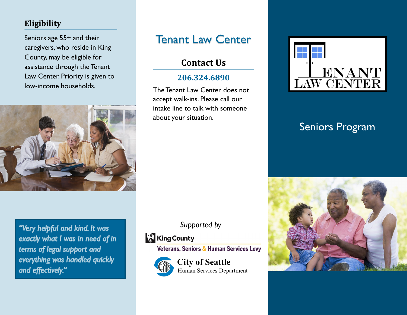## **Eligibility**

Seniors age 55+ and their caregivers, who reside in King County, may be eligible for assistance through the Tenant Law Center. Priority is given to low-income households.



"Very helpful and kind. It was exactly what I was in need of in terms of legal support and everything was handled quickly and effectively."

# Tenant Law Center

## **Contact Us**

### **206.324.6890**

The Tenant Law Center does not accept walk-ins. Please call our intake line to talk with someone about your situation.



## Seniors Program



## *Supported by*

## **King County**

Veterans, Seniors & Human Services Levy



**City of Seattle** Human Services Department